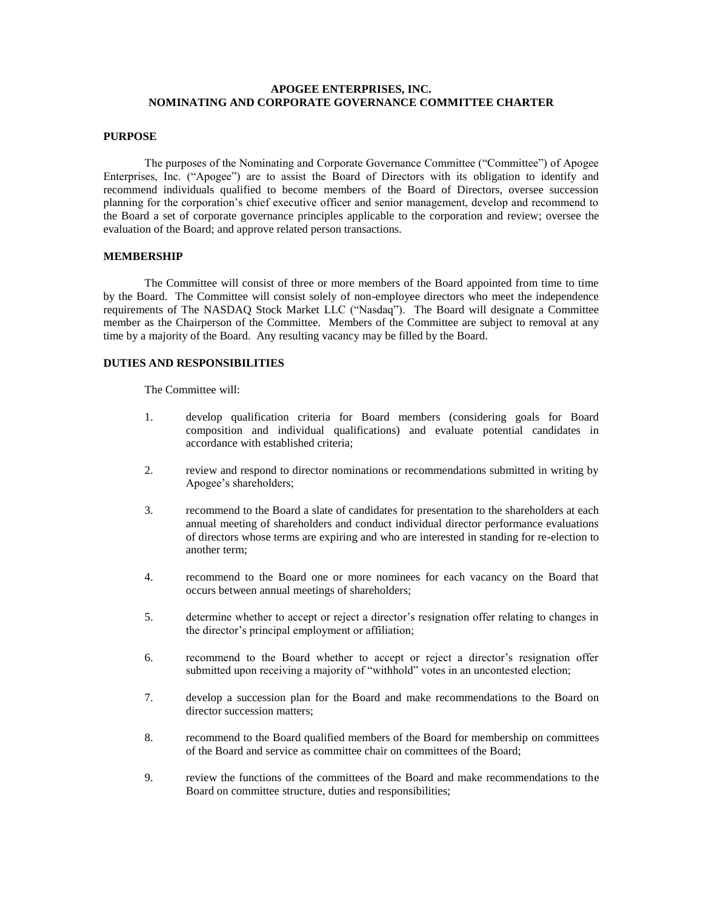# **APOGEE ENTERPRISES, INC. NOMINATING AND CORPORATE GOVERNANCE COMMITTEE CHARTER**

#### **PURPOSE**

The purposes of the Nominating and Corporate Governance Committee ("Committee") of Apogee Enterprises, Inc. ("Apogee") are to assist the Board of Directors with its obligation to identify and recommend individuals qualified to become members of the Board of Directors, oversee succession planning for the corporation's chief executive officer and senior management, develop and recommend to the Board a set of corporate governance principles applicable to the corporation and review; oversee the evaluation of the Board; and approve related person transactions.

### **MEMBERSHIP**

The Committee will consist of three or more members of the Board appointed from time to time by the Board. The Committee will consist solely of non-employee directors who meet the independence requirements of The NASDAQ Stock Market LLC ("Nasdaq"). The Board will designate a Committee member as the Chairperson of the Committee. Members of the Committee are subject to removal at any time by a majority of the Board. Any resulting vacancy may be filled by the Board.

### **DUTIES AND RESPONSIBILITIES**

The Committee will:

- 1. develop qualification criteria for Board members (considering goals for Board composition and individual qualifications) and evaluate potential candidates in accordance with established criteria;
- 2. review and respond to director nominations or recommendations submitted in writing by Apogee's shareholders;
- 3. recommend to the Board a slate of candidates for presentation to the shareholders at each annual meeting of shareholders and conduct individual director performance evaluations of directors whose terms are expiring and who are interested in standing for re-election to another term;
- 4. recommend to the Board one or more nominees for each vacancy on the Board that occurs between annual meetings of shareholders;
- 5. determine whether to accept or reject a director's resignation offer relating to changes in the director's principal employment or affiliation;
- 6. recommend to the Board whether to accept or reject a director's resignation offer submitted upon receiving a majority of "withhold" votes in an uncontested election;
- 7. develop a succession plan for the Board and make recommendations to the Board on director succession matters;
- 8. recommend to the Board qualified members of the Board for membership on committees of the Board and service as committee chair on committees of the Board;
- 9. review the functions of the committees of the Board and make recommendations to the Board on committee structure, duties and responsibilities;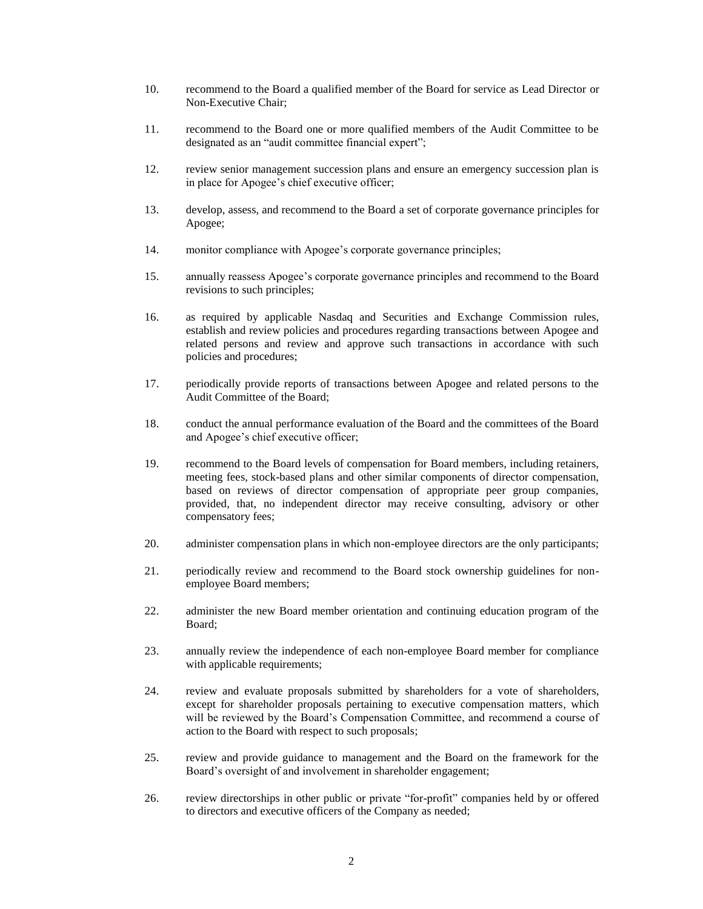- 10. recommend to the Board a qualified member of the Board for service as Lead Director or Non-Executive Chair;
- 11. recommend to the Board one or more qualified members of the Audit Committee to be designated as an "audit committee financial expert";
- 12. review senior management succession plans and ensure an emergency succession plan is in place for Apogee's chief executive officer;
- 13. develop, assess, and recommend to the Board a set of corporate governance principles for Apogee;
- 14. monitor compliance with Apogee's corporate governance principles;
- 15. annually reassess Apogee's corporate governance principles and recommend to the Board revisions to such principles;
- 16. as required by applicable Nasdaq and Securities and Exchange Commission rules, establish and review policies and procedures regarding transactions between Apogee and related persons and review and approve such transactions in accordance with such policies and procedures;
- 17. periodically provide reports of transactions between Apogee and related persons to the Audit Committee of the Board;
- 18. conduct the annual performance evaluation of the Board and the committees of the Board and Apogee's chief executive officer;
- 19. recommend to the Board levels of compensation for Board members, including retainers, meeting fees, stock-based plans and other similar components of director compensation, based on reviews of director compensation of appropriate peer group companies, provided, that, no independent director may receive consulting, advisory or other compensatory fees;
- 20. administer compensation plans in which non-employee directors are the only participants;
- 21. periodically review and recommend to the Board stock ownership guidelines for nonemployee Board members;
- 22. administer the new Board member orientation and continuing education program of the Board;
- 23. annually review the independence of each non-employee Board member for compliance with applicable requirements;
- 24. review and evaluate proposals submitted by shareholders for a vote of shareholders, except for shareholder proposals pertaining to executive compensation matters, which will be reviewed by the Board's Compensation Committee, and recommend a course of action to the Board with respect to such proposals;
- 25. review and provide guidance to management and the Board on the framework for the Board's oversight of and involvement in shareholder engagement;
- 26. review directorships in other public or private "for-profit" companies held by or offered to directors and executive officers of the Company as needed;